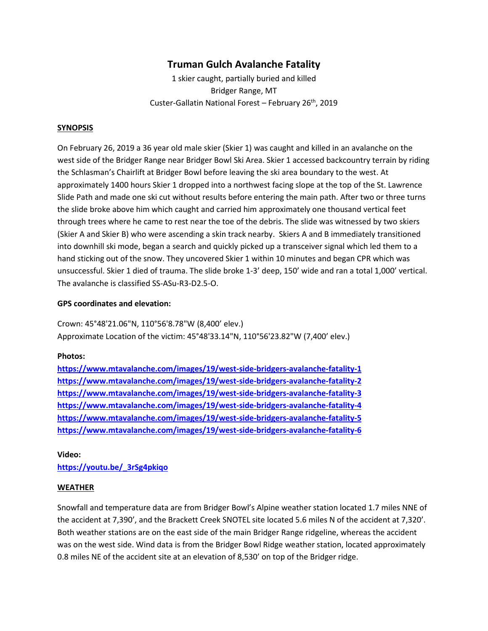# **Truman Gulch Avalanche Fatality**

1 skier caught, partially buried and killed Bridger Range, MT Custer-Gallatin National Forest - February 26<sup>th</sup>, 2019

#### **SYNOPSIS**

On February 26, 2019 a 36 year old male skier (Skier 1) was caught and killed in an avalanche on the west side of the Bridger Range near Bridger Bowl Ski Area. Skier 1 accessed backcountry terrain by riding the Schlasman's Chairlift at Bridger Bowl before leaving the ski area boundary to the west. At approximately 1400 hours Skier 1 dropped into a northwest facing slope at the top of the St. Lawrence Slide Path and made one ski cut without results before entering the main path. After two or three turns the slide broke above him which caught and carried him approximately one thousand vertical feet through trees where he came to rest near the toe of the debris. The slide was witnessed by two skiers (Skier A and Skier B) who were ascending a skin track nearby. Skiers A and B immediately transitioned into downhill ski mode, began a search and quickly picked up a transceiver signal which led them to a hand sticking out of the snow. They uncovered Skier 1 within 10 minutes and began CPR which was unsuccessful. Skier 1 died of trauma. The slide broke 1-3' deep, 150' wide and ran a total 1,000' vertical. The avalanche is classified SS-ASu-R3-D2.5-O.

#### **GPS coordinates and elevation:**

Crown: 45°48'21.06"N, 110°56'8.78"W (8,400' elev.) Approximate Location of the victim: 45°48'33.14"N, 110°56'23.82"W (7,400' elev.)

#### **Photos:**

**<https://www.mtavalanche.com/images/19/west-side-bridgers-avalanche-fatality-1> <https://www.mtavalanche.com/images/19/west-side-bridgers-avalanche-fatality-2> <https://www.mtavalanche.com/images/19/west-side-bridgers-avalanche-fatality-3> <https://www.mtavalanche.com/images/19/west-side-bridgers-avalanche-fatality-4> <https://www.mtavalanche.com/images/19/west-side-bridgers-avalanche-fatality-5> <https://www.mtavalanche.com/images/19/west-side-bridgers-avalanche-fatality-6>**

### **Video:**

**[https://youtu.be/\\_3rSg4pkiqo](https://youtu.be/_3rSg4pkiqo)**

### **WEATHER**

Snowfall and temperature data are from Bridger Bowl's Alpine weather station located 1.7 miles NNE of the accident at 7,390', and the Brackett Creek SNOTEL site located 5.6 miles N of the accident at 7,320'. Both weather stations are on the east side of the main Bridger Range ridgeline, whereas the accident was on the west side. Wind data is from the Bridger Bowl Ridge weather station, located approximately 0.8 miles NE of the accident site at an elevation of 8,530' on top of the Bridger ridge.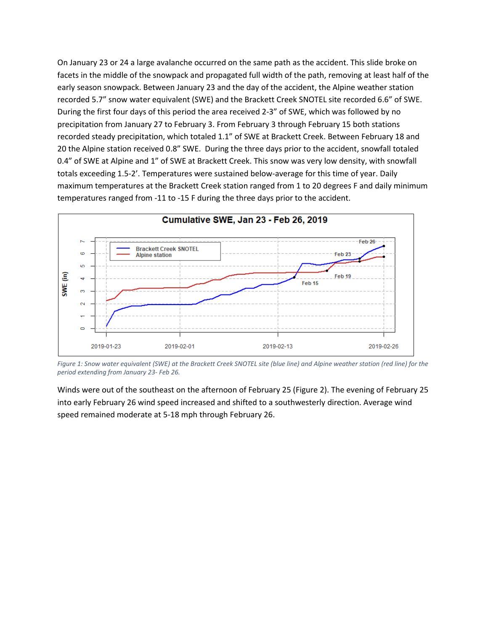On January 23 or 24 a large avalanche occurred on the same path as the accident. This slide broke on facets in the middle of the snowpack and propagated full width of the path, removing at least half of the early season snowpack. Between January 23 and the day of the accident, the Alpine weather station recorded 5.7" snow water equivalent (SWE) and the Brackett Creek SNOTEL site recorded 6.6" of SWE. During the first four days of this period the area received 2-3" of SWE, which was followed by no precipitation from January 27 to February 3. From February 3 through February 15 both stations recorded steady precipitation, which totaled 1.1" of SWE at Brackett Creek. Between February 18 and 20 the Alpine station received 0.8" SWE. During the three days prior to the accident, snowfall totaled 0.4" of SWE at Alpine and 1" of SWE at Brackett Creek. This snow was very low density, with snowfall totals exceeding 1.5-2'. Temperatures were sustained below-average for this time of year. Daily maximum temperatures at the Brackett Creek station ranged from 1 to 20 degrees F and daily minimum temperatures ranged from -11 to -15 F during the three days prior to the accident.



*Figure 1: Snow water equivalent (SWE) at the Brackett Creek SNOTEL site (blue line) and Alpine weather station (red line) for the period extending from January 23- Feb 26.*

Winds were out of the southeast on the afternoon of February 25 (Figure 2). The evening of February 25 into early February 26 wind speed increased and shifted to a southwesterly direction. Average wind speed remained moderate at 5-18 mph through February 26.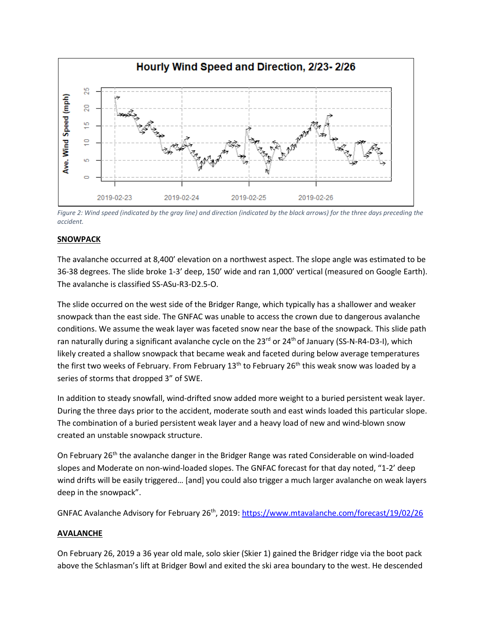

*Figure 2: Wind speed (indicated by the gray line) and direction (indicated by the black arrows) for the three days preceding the accident.*

### **SNOWPACK**

The avalanche occurred at 8,400' elevation on a northwest aspect. The slope angle was estimated to be 36-38 degrees. The slide broke 1-3' deep, 150' wide and ran 1,000' vertical (measured on Google Earth). The avalanche is classified SS-ASu-R3-D2.5-O.

The slide occurred on the west side of the Bridger Range, which typically has a shallower and weaker snowpack than the east side. The GNFAC was unable to access the crown due to dangerous avalanche conditions. We assume the weak layer was faceted snow near the base of the snowpack. This slide path ran naturally during a significant avalanche cycle on the 23<sup>rd</sup> or 24<sup>th</sup> of January (SS-N-R4-D3-I), which likely created a shallow snowpack that became weak and faceted during below average temperatures the first two weeks of February. From February 13<sup>th</sup> to February 26<sup>th</sup> this weak snow was loaded by a series of storms that dropped 3" of SWE.

In addition to steady snowfall, wind-drifted snow added more weight to a buried persistent weak layer. During the three days prior to the accident, moderate south and east winds loaded this particular slope. The combination of a buried persistent weak layer and a heavy load of new and wind-blown snow created an unstable snowpack structure.

On February 26<sup>th</sup> the avalanche danger in the Bridger Range was rated Considerable on wind-loaded slopes and Moderate on non-wind-loaded slopes. The GNFAC forecast for that day noted, "1-2' deep wind drifts will be easily triggered… [and] you could also trigger a much larger avalanche on weak layers deep in the snowpack".

GNFAC Avalanche Advisory for February 26<sup>th</sup>, 2019[: https://www.mtavalanche.com/forecast/19/02/26](https://www.mtavalanche.com/forecast/19/02/26)

### **AVALANCHE**

On February 26, 2019 a 36 year old male, solo skier (Skier 1) gained the Bridger ridge via the boot pack above the Schlasman's lift at Bridger Bowl and exited the ski area boundary to the west. He descended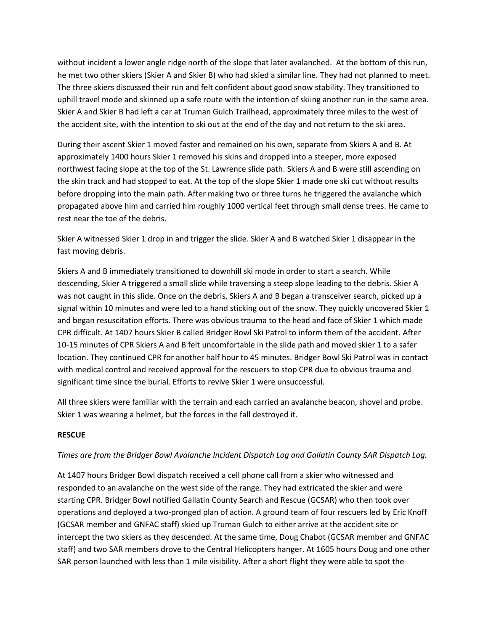without incident a lower angle ridge north of the slope that later avalanched. At the bottom of this run, he met two other skiers (Skier A and Skier B) who had skied a similar line. They had not planned to meet. The three skiers discussed their run and felt confident about good snow stability. They transitioned to uphill travel mode and skinned up a safe route with the intention of skiing another run in the same area. Skier A and Skier B had left a car at Truman Gulch Trailhead, approximately three miles to the west of the accident site, with the intention to ski out at the end of the day and not return to the ski area.

During their ascent Skier 1 moved faster and remained on his own, separate from Skiers A and B. At approximately 1400 hours Skier 1 removed his skins and dropped into a steeper, more exposed northwest facing slope at the top of the St. Lawrence slide path. Skiers A and B were still ascending on the skin track and had stopped to eat. At the top of the slope Skier 1 made one ski cut without results before dropping into the main path. After making two or three turns he triggered the avalanche which propagated above him and carried him roughly 1000 vertical feet through small dense trees. He came to rest near the toe of the debris.

Skier A witnessed Skier 1 drop in and trigger the slide. Skier A and B watched Skier 1 disappear in the fast moving debris.

Skiers A and B immediately transitioned to downhill ski mode in order to start a search. While descending, Skier A triggered a small slide while traversing a steep slope leading to the debris. Skier A was not caught in this slide. Once on the debris, Skiers A and B began a transceiver search, picked up a signal within 10 minutes and were led to a hand sticking out of the snow. They quickly uncovered Skier 1 and began resuscitation efforts. There was obvious trauma to the head and face of Skier 1 which made CPR difficult. At 1407 hours Skier B called Bridger Bowl Ski Patrol to inform them of the accident. After 10-15 minutes of CPR Skiers A and B felt uncomfortable in the slide path and moved skier 1 to a safer location. They continued CPR for another half hour to 45 minutes. Bridger Bowl Ski Patrol was in contact with medical control and received approval for the rescuers to stop CPR due to obvious trauma and significant time since the burial. Efforts to revive Skier 1 were unsuccessful.

All three skiers were familiar with the terrain and each carried an avalanche beacon, shovel and probe. Skier 1 was wearing a helmet, but the forces in the fall destroyed it.

## **RESCUE**

## *Times are from the Bridger Bowl Avalanche Incident Dispatch Log and Gallatin County SAR Dispatch Log.*

At 1407 hours Bridger Bowl dispatch received a cell phone call from a skier who witnessed and responded to an avalanche on the west side of the range. They had extricated the skier and were starting CPR. Bridger Bowl notified Gallatin County Search and Rescue (GCSAR) who then took over operations and deployed a two-pronged plan of action. A ground team of four rescuers led by Eric Knoff (GCSAR member and GNFAC staff) skied up Truman Gulch to either arrive at the accident site or intercept the two skiers as they descended. At the same time, Doug Chabot (GCSAR member and GNFAC staff) and two SAR members drove to the Central Helicopters hanger. At 1605 hours Doug and one other SAR person launched with less than 1 mile visibility. After a short flight they were able to spot the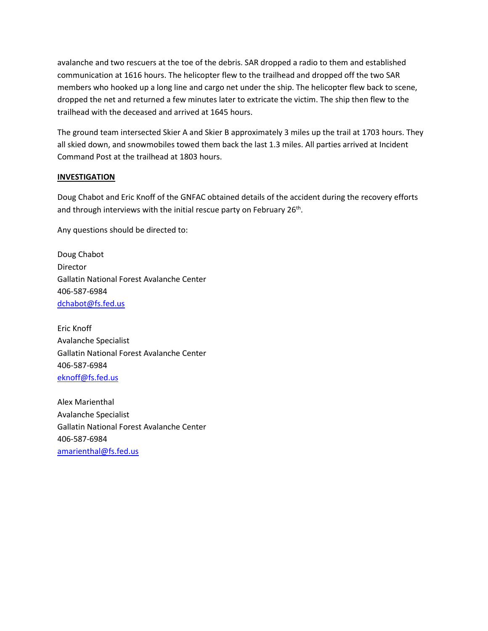avalanche and two rescuers at the toe of the debris. SAR dropped a radio to them and established communication at 1616 hours. The helicopter flew to the trailhead and dropped off the two SAR members who hooked up a long line and cargo net under the ship. The helicopter flew back to scene, dropped the net and returned a few minutes later to extricate the victim. The ship then flew to the trailhead with the deceased and arrived at 1645 hours.

The ground team intersected Skier A and Skier B approximately 3 miles up the trail at 1703 hours. They all skied down, and snowmobiles towed them back the last 1.3 miles. All parties arrived at Incident Command Post at the trailhead at 1803 hours.

## **INVESTIGATION**

Doug Chabot and Eric Knoff of the GNFAC obtained details of the accident during the recovery efforts and through interviews with the initial rescue party on February 26<sup>th</sup>.

Any questions should be directed to:

Doug Chabot Director Gallatin National Forest Avalanche Center 406-587-6984 [dchabot@fs.fed.us](mailto:dchabot@fs.fed.us)

Eric Knoff Avalanche Specialist Gallatin National Forest Avalanche Center 406-587-6984 eknoff@fs.fed.us

Alex Marienthal Avalanche Specialist Gallatin National Forest Avalanche Center 406-587-6984 [amarienthal@fs.fed.us](mailto:eknoff@fs.fed.us)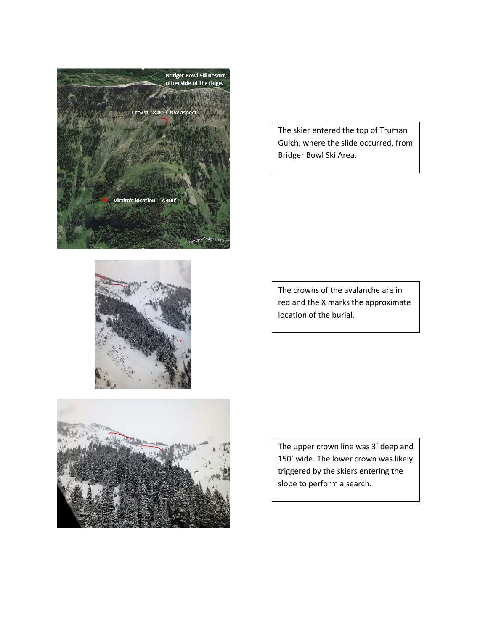



The skier entered the top of Truman



The crowns of the avalanche are in red and the X marks the approximate location of the burial.



The upper crown line was 3' deep and 150' wide. The lower crown was likely triggered by the skiers entering the slope to perform a search.